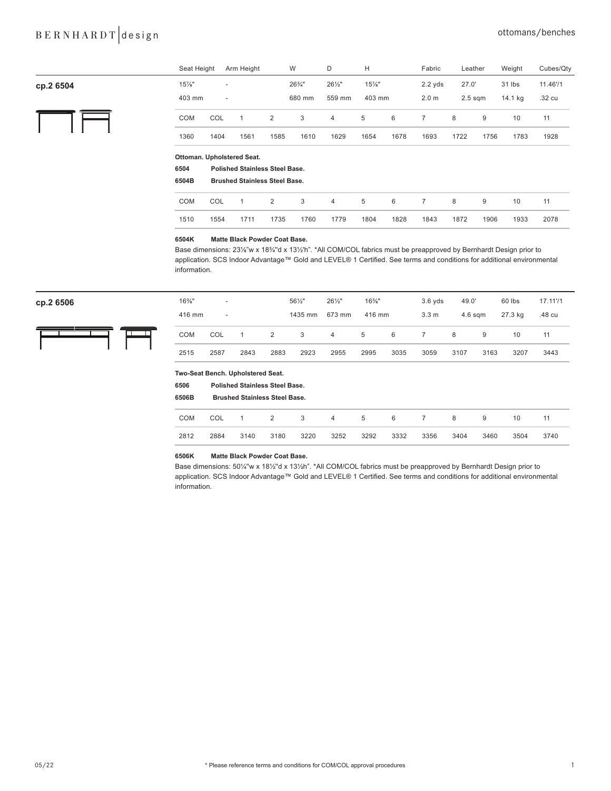## BERNHARDT design cttomans/benches

|           | Seat Height  |                                      | Arm Height                            |      | W      | D                 | Н        |      | Fabric           | Leather   |      | Weight  | Cubes/Qty |
|-----------|--------------|--------------------------------------|---------------------------------------|------|--------|-------------------|----------|------|------------------|-----------|------|---------|-----------|
| cp.2 6504 | 15%"         | $\overline{\phantom{a}}$             |                                       |      | 26%"   | $26\frac{1}{2}$ " | $15\%$ " |      | $2.2$ yds        | 27.0'     |      | 31 lbs  | 11.46'/1  |
|           | 403 mm       | $\overline{\phantom{a}}$             |                                       |      | 680 mm | 559 mm            | 403 mm   |      | 2.0 <sub>m</sub> | $2.5$ sqm |      | 14.1 kg | .32 cu    |
|           | COM          | COL                                  | 1                                     | 2    | 3      | $\overline{4}$    | 5        | 6    | $\overline{7}$   | 8         | 9    | 10      | 11        |
|           | 1360         | 1404                                 | 1561                                  | 1585 | 1610   | 1629              | 1654     | 1678 | 1693             | 1722      | 1756 | 1783    | 1928      |
|           |              |                                      | Ottoman. Upholstered Seat.            |      |        |                   |          |      |                  |           |      |         |           |
|           | 6504         |                                      | <b>Polished Stainless Steel Base.</b> |      |        |                   |          |      |                  |           |      |         |           |
|           | 6504B        | <b>Brushed Stainless Steel Base.</b> |                                       |      |        |                   |          |      |                  |           |      |         |           |
|           | COM          | COL                                  | $\mathbf{1}$                          | 2    | 3      | $\overline{4}$    | 5        | 6    | $\overline{7}$   | 8         | 9    | 10      | 11        |
|           | 1510         | 1554                                 | 1711                                  | 1735 | 1760   | 1779              | 1804     | 1828 | 1843             | 1872      | 1906 | 1933    | 2078      |
|           | <b>GEOAK</b> |                                      | Matto Black Powder Coat Base          |      |        |                   |          |      |                  |           |      |         |           |

#### **6504K Matte Black Powder Coat Base.**

Base dimensions: 23⅛"w x 18¾''d x 13½'h". \*All COM/COL fabrics must be preapproved by Bernhardt Design prior to application. SCS Indoor Advantage™ Gold and LEVEL® 1 Certified. See terms and conditions for additional environmental information.



| ср.2 6506 | $16\%$ " | $\overline{\phantom{a}}$ |      |      | $56\frac{1}{2}$ | $26\frac{1}{2}$ | $16\%$ " |      | $3.6$ yds        | 49.0'     |      | 60 lbs  | 17.11'/1 |
|-----------|----------|--------------------------|------|------|-----------------|-----------------|----------|------|------------------|-----------|------|---------|----------|
|           | 416 mm   | $\overline{\phantom{a}}$ |      |      | 1435 mm         | 673 mm          | 416 mm   |      | 3.3 <sub>m</sub> | $4.6$ sqm |      | 27.3 kg | .48 cu   |
|           | COM      | COL                      |      |      | 3               | $\overline{4}$  | 5        | - 6  |                  | 8         | 9    | 10      |          |
|           | 2515     | 2587                     | 2843 | 2883 | 2923            | 2955            | 2995     | 3035 | 3059             | 3107      | 3163 | 3207    | 3443     |

#### **Two-Seat Bench. Upholstered Seat.**

| 6506<br>6506B |      | <b>Polished Stainless Steel Base.</b><br><b>Brushed Stainless Steel Base.</b> |                |      |      |      |                 |      |      |      |      |      |
|---------------|------|-------------------------------------------------------------------------------|----------------|------|------|------|-----------------|------|------|------|------|------|
| <b>COM</b>    | COL  |                                                                               | $\overline{2}$ | 3    | 4    | 5    | $6\overline{6}$ | 7    | 8    | 9    | 10   | 11   |
| 2812          | 2884 | 3140                                                                          | 3180           | 3220 | 3252 | 3292 | 3332            | 3356 | 3404 | 3460 | 3504 | 3740 |

#### **6506K Matte Black Powder Coat Base.**

Base dimensions: 50¼''w x 18½''d x 13½h". \*All COM/COL fabrics must be preapproved by Bernhardt Design prior to application. SCS Indoor Advantage™ Gold and LEVEL® 1 Certified. See terms and conditions for additional environmental information.